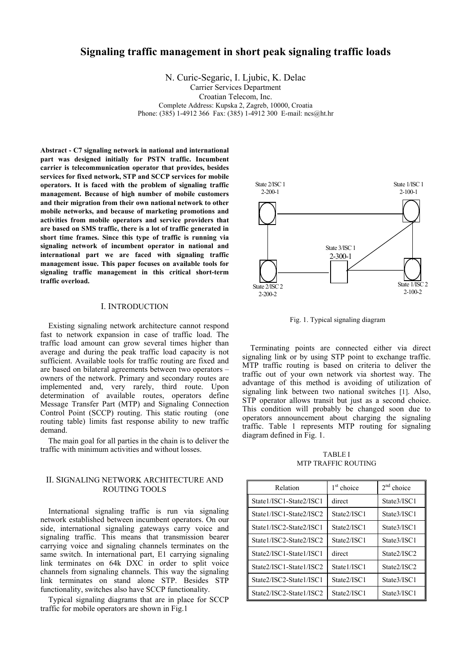# **Signaling traffic management in short peak signaling traffic loads**

N. Curic-Segaric, I. Ljubic, K. Delac

Carrier Services Department

Croatian Telecom, Inc.

Complete Address: Kupska 2, Zagreb, 10000, Croatia

Phone: (385) 1-4912 366 Fax: (385) 1-4912 300 E-mail: ncs@ht.hr

**Abstract - C7 signaling network in national and international part was designed initially for PSTN traffic. Incumbent carrier is telecommunication operator that provides, besides services for fixed network, STP and SCCP services for mobile operators. It is faced with the problem of signaling traffic management. Because of high number of mobile customers and their migration from their own national network to other mobile networks, and because of marketing promotions and activities from mobile operators and service providers that are based on SMS traffic, there is a lot of traffic generated in short time frames. Since this type of traffic is running via signaling network of incumbent operator in national and international part we are faced with signaling traffic management issue. This paper focuses on available tools for signaling traffic management in this critical short-term traffic overload.** 

### I. INTRODUCTION

Existing signaling network architecture cannot respond fast to network expansion in case of traffic load. The traffic load amount can grow several times higher than average and during the peak traffic load capacity is not sufficient. Available tools for traffic routing are fixed and are based on bilateral agreements between two operators – owners of the network. Primary and secondary routes are implemented and, very rarely, third route. Upon determination of available routes, operators define Message Transfer Part (MTP) and Signaling Connection Control Point (SCCP) routing. This static routing (one routing table) limits fast response ability to new traffic demand.

The main goal for all parties in the chain is to deliver the traffic with minimum activities and without losses.

# II. SIGNALING NETWORK ARCHITECTURE AND ROUTING TOOLS

International signaling traffic is run via signaling network established between incumbent operators. On our side, international signaling gateways carry voice and signaling traffic. This means that transmission bearer carrying voice and signaling channels terminates on the same switch. In international part, E1 carrying signaling link terminates on 64k DXC in order to split voice channels from signaling channels. This way the signaling link terminates on stand alone STP. Besides STP functionality, switches also have SCCP functionality.

Typical signaling diagrams that are in place for SCCP traffic for mobile operators are shown in Fig.1



Fig. 1. Typical signaling diagram

Terminating points are connected either via direct signaling link or by using STP point to exchange traffic. MTP traffic routing is based on criteria to deliver the traffic out of your own network via shortest way. The advantage of this method is avoiding of utilization of signaling link between two national switches [1]. Also, STP operator allows transit but just as a second choice. This condition will probably be changed soon due to operators announcement about charging the signaling traffic. Table 1 represents MTP routing for signaling diagram defined in Fig. 1.

TABLE I MTP TRAFFIC ROUTING

| Relation                | $1st$ choice | $2nd$ choice |
|-------------------------|--------------|--------------|
| State1/ISC1-State2/ISC1 | direct       | State3/ISC1  |
| State1/ISC1-State2/ISC2 | State2/ISC1  | State3/ISC1  |
| State1/ISC2-State2/ISC1 | State2/ISC1  | State3/ISC1  |
| State1/ISC2-State2/ISC2 | State2/ISC1  | State3/ISC1  |
| State2/ISC1-State1/ISC1 | direct       | State2/ISC2  |
| State2/ISC1-State1/ISC2 | State1/ISC1  | State2/ISC2  |
| State2/ISC2-State1/ISC1 | State2/ISC1  | State3/ISC1  |
| State2/ISC2-State1/ISC2 | State2/ISC1  | State3/ISC1  |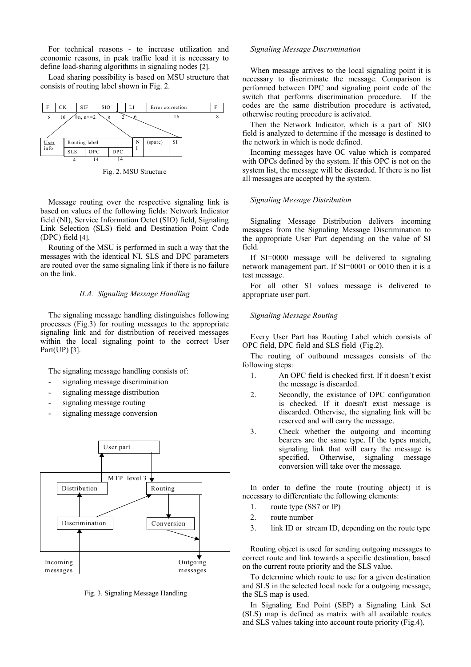For technical reasons - to increase utilization and economic reasons, in peak traffic load it is necessary to define load-sharing algorithms in signaling nodes [2].

Load sharing possibility is based on MSU structure that consists of routing label shown in Fig. 2.



Fig. 2. MSU Structure

Message routing over the respective signaling link is based on values of the following fields: Network Indicator field (NI), Service Information Octet (SIO) field, Signaling Link Selection (SLS) field and Destination Point Code (DPC) field [4].

Routing of the MSU is performed in such a way that the messages with the identical NI, SLS and DPC parameters are routed over the same signaling link if there is no failure on the link.

#### *II.A. Signaling Message Handling*

The signaling message handling distinguishes following processes (Fig.3) for routing messages to the appropriate signaling link and for distribution of received messages within the local signaling point to the correct User Part(UP) [3].

The signaling message handling consists of:

- signaling message discrimination
- signaling message distribution
- signaling message routing
- signaling message conversion



Fig. 3. Signaling Message Handling

#### *Signaling Message Discrimination*

When message arrives to the local signaling point it is necessary to discriminate the message. Comparison is performed between DPC and signaling point code of the switch that performs discrimination procedure. If the codes are the same distribution procedure is activated, otherwise routing procedure is activated.

Then the Network Indicator, which is a part of SIO field is analyzed to determine if the message is destined to the network in which is node defined.

Incoming messages have OC value which is compared with OPCs defined by the system. If this OPC is not on the system list, the message will be discarded. If there is no list all messages are accepted by the system.

#### *Signaling Message Distribution*

Signaling Message Distribution delivers incoming messages from the Signaling Message Discrimination to the appropriate User Part depending on the value of SI field.

If SI=0000 message will be delivered to signaling network management part. If SI=0001 or 0010 then it is a test message.

For all other SI values message is delivered to appropriate user part.

#### *Signaling Message Routing*

Every User Part has Routing Label which consists of OPC field, DPC field and SLS field (Fig.2).

The routing of outbound messages consists of the following steps:

- 1. An OPC field is checked first. If it doesn't exist the message is discarded.
- 2. Secondly, the existance of DPC configuration is checked. If it doesn't exist message is discarded. Othervise, the signaling link will be reserved and will carry the message.
- 3. Check whether the outgoing and incoming bearers are the same type. If the types match, signaling link that will carry the message is specified. Otherwise, signaling message conversion will take over the message.

In order to define the route (routing object) it is necessary to differentiate the following elements:

- 1. route type (SS7 or IP)
- 2. route number
- 3. link ID or stream ID, depending on the route type

Routing object is used for sending outgoing messages to correct route and link towards a specific destination, based on the current route priority and the SLS value.

To determine which route to use for a given destination and SLS in the selected local node for a outgoing message, the SLS map is used.

In Signaling End Point (SEP) a Signaling Link Set (SLS) map is defined as matrix with all available routes and SLS values taking into account route priority (Fig.4).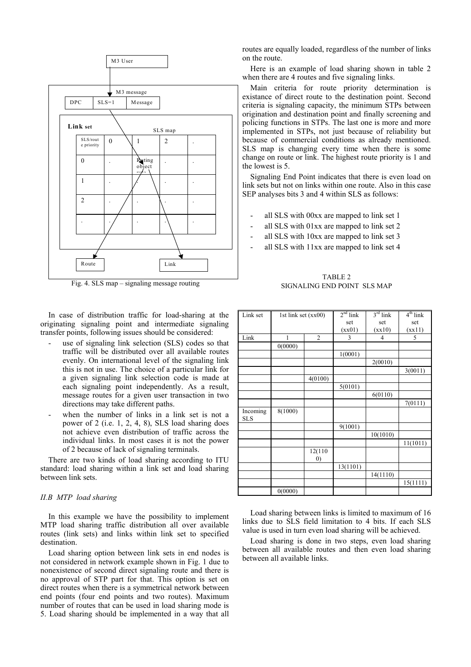

Fig. 4. SLS map – signaling message routing

In case of distribution traffic for load-sharing at the originating signaling point and intermediate signaling transfer points, following issues should be considered:

- use of signaling link selection (SLS) codes so that traffic will be distributed over all available routes evenly. On international level of the signaling link this is not in use. The choice of a particular link for a given signaling link selection code is made at each signaling point independently. As a result, message routes for a given user transaction in two directions may take different paths.
- when the number of links in a link set is not a power of 2 (i.e. 1, 2, 4, 8), SLS load sharing does not achieve even distribution of traffic across the individual links. In most cases it is not the power of 2 because of lack of signaling terminals.

There are two kinds of load sharing according to ITU standard: load sharing within a link set and load sharing between link sets.

#### *II.B MTP load sharing*

In this example we have the possibility to implement MTP load sharing traffic distribution all over available routes (link sets) and links within link set to specified destination.

Load sharing option between link sets in end nodes is not considered in network example shown in Fig. 1 due to nonexistence of second direct signaling route and there is no approval of STP part for that. This option is set on direct routes when there is a symmetrical network between end points (four end points and two routes). Maximum number of routes that can be used in load sharing mode is 5. Load sharing should be implemented in a way that all

routes are equally loaded, regardless of the number of links on the route.

Here is an example of load sharing shown in table 2 when there are 4 routes and five signaling links.

Main criteria for route priority determination is existance of direct route to the destination point. Second criteria is signaling capacity, the minimum STPs between origination and destination point and finally screening and policing functions in STPs. The last one is more and more implemented in STPs, not just because of reliability but because of commercial conditions as already mentioned. SLS map is changing every time when there is some change on route or link. The highest route priority is 1 and the lowest is 5.

Signaling End Point indicates that there is even load on link sets but not on links within one route. Also in this case SEP analyses bits 3 and 4 within SLS as follows:

- all SLS with 00xx are mapped to link set 1
- all SLS with 01xx are mapped to link set 2
- all SLS with 10xx are mapped to link set 3
- all SLS with 11xx are mapped to link set 4

TABLE 2 SIGNALING END POINT SLS MAP

| Link set               | 1st link set $(xx00)$ |                             | $2nd$ link | $3^{\text{rd}}$ link | $4th$ link |
|------------------------|-----------------------|-----------------------------|------------|----------------------|------------|
|                        |                       |                             | set        | set                  | set        |
|                        |                       |                             | (xx01)     | (xx10)               | (xx11)     |
| Link                   | 1                     | $\overline{2}$              | 3          | 4                    | 5          |
|                        | 0(0000)               |                             |            |                      |            |
|                        |                       |                             | 1(0001)    |                      |            |
|                        |                       |                             |            | 2(0010)              |            |
|                        |                       |                             |            |                      | 3(0011)    |
|                        |                       | 4(0100)                     |            |                      |            |
|                        |                       |                             | 5(0101)    |                      |            |
|                        |                       |                             |            | 6(0110)              |            |
|                        |                       |                             |            |                      | 7(0111)    |
| Incoming<br><b>SLS</b> | 8(1000)               |                             |            |                      |            |
|                        |                       |                             | 9(1001)    |                      |            |
|                        |                       |                             |            | 10(1010)             |            |
|                        |                       |                             |            |                      | 11(1011)   |
|                        |                       | 12(110<br>$\left( 0\right)$ |            |                      |            |
|                        |                       |                             | 13(1101)   |                      |            |
|                        |                       |                             |            | 14(1110)             |            |
|                        |                       |                             |            |                      | 15(1111)   |
|                        | 0(0000)               |                             |            |                      |            |

Load sharing between links is limited to maximum of 16 links due to SLS field limitation to 4 bits. If each SLS value is used in turn even load sharing will be achieved.

Load sharing is done in two steps, even load sharing between all available routes and then even load sharing between all available links.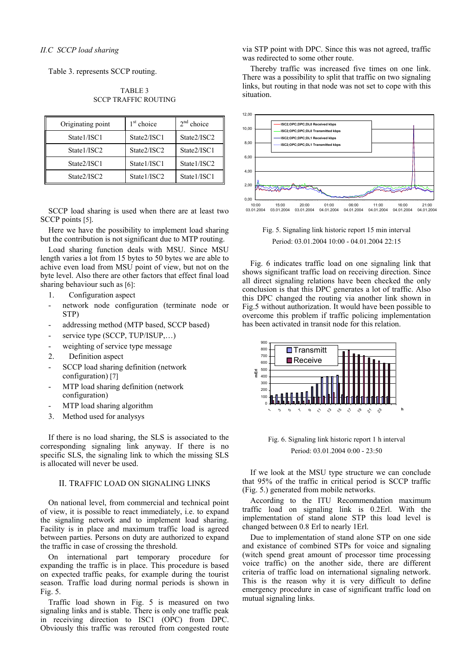Table 3. represents SCCP routing.

| Originating point | $1st$ choice | $2nd$ choice |
|-------------------|--------------|--------------|
| State1/ISC1       | State2/ISC1  | State2/ISC2  |
| State1/ISC2       | State2/ISC2  | State2/ISC1  |
| State2/ISC1       | State1/ISC1  | State1/ISC2  |
| State2/ISC2       | State1/ISC2  | State1/ISC1  |

TABLE 3 SCCP TRAFFIC ROUTING

SCCP load sharing is used when there are at least two SCCP points [5].

Here we have the possibility to implement load sharing but the contribution is not significant due to MTP routing.

Load sharing function deals with MSU. Since MSU length varies a lot from 15 bytes to 50 bytes we are able to achive even load from MSU point of view, but not on the byte level. Also there are other factors that effect final load sharing behaviour such as [6]:

- 1. Configuration aspect
- network node configuration (terminate node or STP)
- addressing method (MTP based, SCCP based)
- service type (SCCP, TUP/ISUP,...)
- weighting of service type message
- 2. Definition aspect
- SCCP load sharing definition (network configuration) [7]
- MTP load sharing definition (network configuration)
- MTP load sharing algorithm
- 3. Method used for analysys

If there is no load sharing, the SLS is associated to the corresponding signaling link anyway. If there is no specific SLS, the signaling link to which the missing SLS is allocated will never be used.

### II. TRAFFIC LOAD ON SIGNALING LINKS

On national level, from commercial and technical point of view, it is possible to react immediately, i.e. to expand the signaling network and to implement load sharing. Facility is in place and maximum traffic load is agreed between parties. Persons on duty are authorized to expand the traffic in case of crossing the threshold.

On international part temporary procedure for expanding the traffic is in place. This procedure is based on expected traffic peaks, for example during the tourist season. Traffic load during normal periods is shown in Fig. 5.

Traffic load shown in Fig. 5 is measured on two signaling links and is stable. There is only one traffic peak in receiving direction to ISC1 (OPC) from DPC. Obviously this traffic was rerouted from congested route via STP point with DPC. Since this was not agreed, traffic was redirected to some other route.

Thereby traffic was increased five times on one link. There was a possibility to split that traffic on two signaling links, but routing in that node was not set to cope with this situation.



Fig. 5. Signaling link historic report 15 min interval Period: 03.01.2004 10:00 - 04.01.2004 22:15

Fig. 6 indicates traffic load on one signaling link that shows significant traffic load on receiving direction. Since all direct signaling relations have been checked the only conclusion is that this DPC generates a lot of traffic. Also this DPC changed the routing via another link shown in Fig.5 without authorization. It would have been possible to overcome this problem if traffic policing implementation has been activated in transit node for this relation.



Fig. 6. Signaling link historic report 1 h interval Period: 03.01.2004 0:00 - 23:50

If we look at the MSU type structure we can conclude that 95% of the traffic in critical period is SCCP traffic (Fig. 5.) generated from mobile networks.

According to the ITU Recommendation maximum traffic load on signaling link is 0.2Erl. With the implementation of stand alone STP this load level is changed between 0.8 Erl to nearly 1Erl.

Due to implementation of stand alone STP on one side and existance of combined STPs for voice and signaling (witch spend great amount of processor time processing voice traffic) on the another side, there are different criteria of traffic load on international signaling network. This is the reason why it is very difficult to define emergency procedure in case of significant traffic load on mutual signaling links.